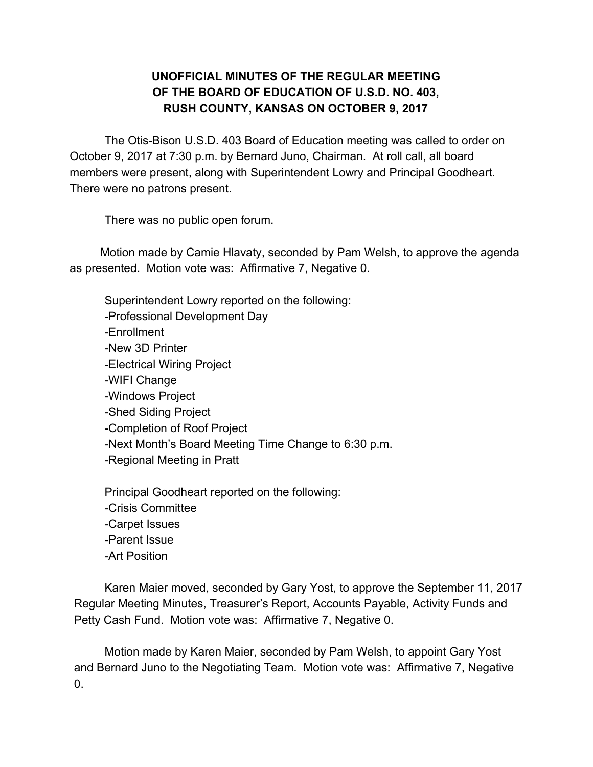## **UNOFFICIAL MINUTES OF THE REGULAR MEETING OF THE BOARD OF EDUCATION OF U.S.D. NO. 403, RUSH COUNTY, KANSAS ON OCTOBER 9, 2017**

The Otis-Bison U.S.D. 403 Board of Education meeting was called to order on October 9, 2017 at 7:30 p.m. by Bernard Juno, Chairman. At roll call, all board members were present, along with Superintendent Lowry and Principal Goodheart. There were no patrons present.

There was no public open forum.

Motion made by Camie Hlavaty, seconded by Pam Welsh, to approve the agenda as presented. Motion vote was: Affirmative 7, Negative 0.

Superintendent Lowry reported on the following: -Professional Development Day -Enrollment -New 3D Printer -Electrical Wiring Project -WIFI Change -Windows Project -Shed Siding Project -Completion of Roof Project -Next Month's Board Meeting Time Change to 6:30 p.m. -Regional Meeting in Pratt Principal Goodheart reported on the following:

-Crisis Committee -Carpet Issues -Parent Issue -Art Position

Karen Maier moved, seconded by Gary Yost, to approve the September 11, 2017 Regular Meeting Minutes, Treasurer's Report, Accounts Payable, Activity Funds and Petty Cash Fund. Motion vote was: Affirmative 7, Negative 0.

Motion made by Karen Maier, seconded by Pam Welsh, to appoint Gary Yost and Bernard Juno to the Negotiating Team. Motion vote was: Affirmative 7, Negative  $\Omega$ .